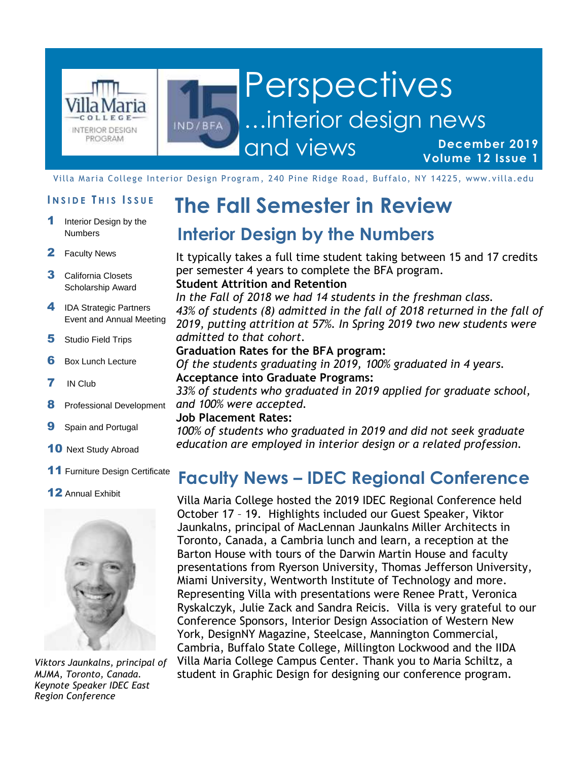

#### **Perspectives** …interior design news IND/BFA and views **December 2019**

**Volume 12 Issue 1**

Villa Maria College Interior Design Program , 240 Pine Ridge Road, Buffalo, NY 14225, www.villa.edu

- Interior Design by the Numbers
- 2 Faculty News
- 3 California Closets Scholarship Award
- 4 IDA Strategic Partners Event and Annual Meeting
- **5** Studio Field Trips
- **6** Box Lunch Lecture
- 7 IN Club
- 8 Professional Development
- **9** Spain and Portugal
- 10 Next Study Abroad
- 11 Furniture Design Certificate
- 12 Annual Exhibit



*Viktors Jaunkalns, principal of MJMA, Toronto, Canada. Keynote Speaker IDEC East Region Conference*

# **INSIDE THIS ISSUE** The Fall Semester in Review

#### **Interior Design by the Numbers**

It typically takes a full time student taking between 15 and 17 credits per semester 4 years to complete the BFA program. **Student Attrition and Retention**

*In the Fall of 2018 we had 14 students in the freshman class. 43% of students (8) admitted in the fall of 2018 returned in the fall of 2019, putting attrition at 57%. In Spring 2019 two new students were admitted to that cohort.* 

#### **Graduation Rates for the BFA program:**

*Of the students graduating in 2019, 100% graduated in 4 years.* **Acceptance into Graduate Programs:** 

*33% of students who graduated in 2019 applied for graduate school, and 100% were accepted.*

#### **Job Placement Rates:**

*100% of students who graduated in 2019 and did not seek graduate education are employed in interior design or a related profession.* 

### **Faculty News – IDEC Regional Conference**

Villa Maria College hosted the 2019 IDEC Regional Conference held October 17 – 19. Highlights included our Guest Speaker, Viktor Jaunkalns, principal of MacLennan Jaunkalns Miller Architects in Toronto, Canada, a Cambria lunch and learn, a reception at the Barton House with tours of the Darwin Martin House and faculty presentations from Ryerson University, Thomas Jefferson University, Miami University, Wentworth Institute of Technology and more. Representing Villa with presentations were Renee Pratt, Veronica Ryskalczyk, Julie Zack and Sandra Reicis. Villa is very grateful to our Conference Sponsors, Interior Design Association of Western New York, DesignNY Magazine, Steelcase, Mannington Commercial, Cambria, Buffalo State College, Millington Lockwood and the IIDA Villa Maria College Campus Center. Thank you to Maria Schiltz, a student in Graphic Design for designing our conference program.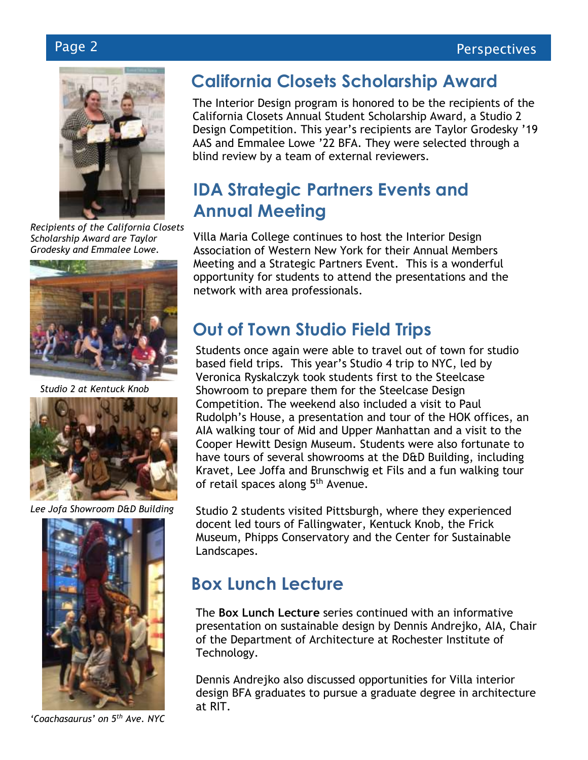

*Recipients of the California Closets Scholarship Award are Taylor Grodesky and Emmalee Lowe.* 



*Studio 2 at Kentuck Knob*



*Lee Jofa Showroom D&D Building*



*'Coachasaurus' on 5th Ave. NYC*

## **California Closets Scholarship Award**

The Interior Design program is honored to be the recipients of the California Closets Annual Student Scholarship Award, a Studio 2 Design Competition. This year's recipients are Taylor Grodesky '19 AAS and Emmalee Lowe '22 BFA. They were selected through a blind review by a team of external reviewers.

## **IDA Strategic Partners Events and Annual Meeting**

Villa Maria College continues to host the Interior Design Association of Western New York for their Annual Members Meeting and a Strategic Partners Event. This is a wonderful opportunity for students to attend the presentations and the network with area professionals.

## **Out of Town Studio Field Trips**

Students once again were able to travel out of town for studio based field trips. This year's Studio 4 trip to NYC, led by Veronica Ryskalczyk took students first to the Steelcase Showroom to prepare them for the Steelcase Design Competition. The weekend also included a visit to Paul Rudolph's House, a presentation and tour of the HOK offices, an AIA walking tour of Mid and Upper Manhattan and a visit to the Cooper Hewitt Design Museum. Students were also fortunate to have tours of several showrooms at the D&D Building, including Kravet, Lee Joffa and Brunschwig et Fils and a fun walking tour of retail spaces along 5<sup>th</sup> Avenue.

Studio 2 students visited Pittsburgh, where they experienced docent led tours of Fallingwater, Kentuck Knob, the Frick Museum, Phipps Conservatory and the Center for Sustainable Landscapes.

## **Box Lunch Lecture**

The **Box Lunch Lecture** series continued with an informative presentation on sustainable design by Dennis Andrejko, AIA, Chair of the Department of Architecture at Rochester Institute of Technology.

Dennis Andrejko also discussed opportunities for Villa interior design BFA graduates to pursue a graduate degree in architecture at RIT.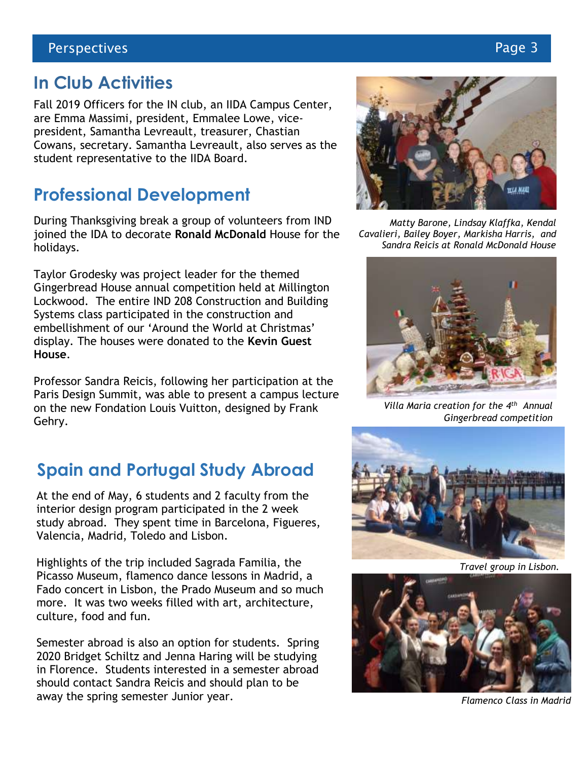#### **In Club Activities**

Fall 2019 Officers for the IN club, an IIDA Campus Center, are Emma Massimi, president, Emmalee Lowe, vicepresident, Samantha Levreault, treasurer, Chastian Cowans, secretary. Samantha Levreault, also serves as the student representative to the IIDA Board.

#### **Professional Development**

During Thanksgiving break a group of volunteers from IND joined the IDA to decorate **Ronald McDonald** House for the holidays.

Taylor Grodesky was project leader for the themed Gingerbread House annual competition held at Millington Lockwood. The entire IND 208 Construction and Building Systems class participated in the construction and embellishment of our 'Around the World at Christmas' display. The houses were donated to the **Kevin Guest House**.

Professor Sandra Reicis, following her participation at the Paris Design Summit, was able to present a campus lecture on the new Fondation Louis Vuitton, designed by Frank Gehry.

## **Spain and Portugal Study Abroad**

At the end of May, 6 students and 2 faculty from the interior design program participated in the 2 week study abroad. They spent time in Barcelona, Figueres, Valencia, Madrid, Toledo and Lisbon.

Highlights of the trip included Sagrada Familia, the Picasso Museum, flamenco dance lessons in Madrid, a Fado concert in Lisbon, the Prado Museum and so much more. It was two weeks filled with art, architecture, culture, food and fun.

Semester abroad is also an option for students. Spring 2020 Bridget Schiltz and Jenna Haring will be studying in Florence. Students interested in a semester abroad should contact Sandra Reicis and should plan to be away the spring semester Junior year. **Figure 2018 Flamenco Class in Madrid** 



*Matty Barone, Lindsay Klaffka, Kendal Cavalieri, Bailey Boyer, Markisha Harris, and Sandra Reicis at Ronald McDonald House*



*Villa Maria creation for the 4 th Annual Gingerbread competition*



*Travel group in Lisbon.*